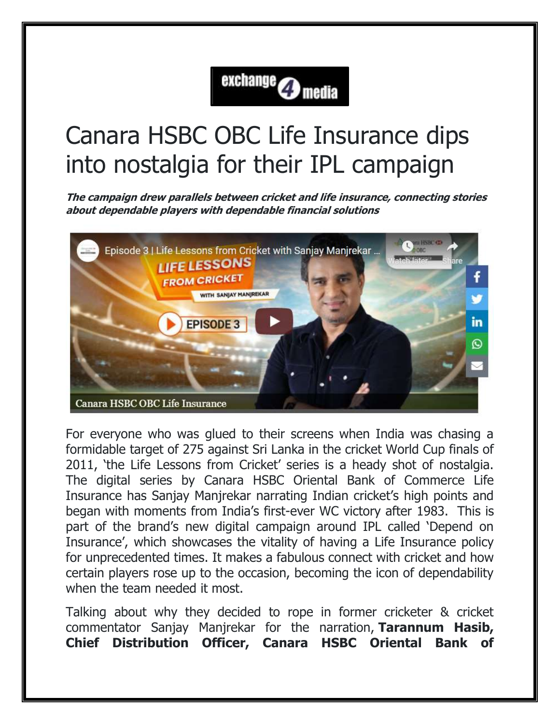## exchange **O** media

## Canara HSBC OBC Life Insurance dips into nostalgia for their IPL campaign

**The campaign drew parallels between cricket and life insurance, connecting stories about dependable players with dependable financial solutions**



For everyone who was glued to their screens when India was chasing a formidable target of 275 against Sri Lanka in the cricket World Cup finals of 2011, 'the Life Lessons from Cricket' series is a heady shot of nostalgia. The digital series by Canara HSBC Oriental Bank of Commerce Life Insurance has Sanjay Manjrekar narrating Indian cricket's high points and began with moments from India's first-ever WC victory after 1983. This is part of the brand's new digital campaign around IPL called 'Depend on Insurance', which showcases the vitality of having a Life Insurance policy for unprecedented times. It makes a fabulous connect with cricket and how certain players rose up to the occasion, becoming the icon of dependability when the team needed it most.

Talking about why they decided to rope in former cricketer & cricket commentator Sanjay Manjrekar for the narration, **Tarannum Hasib, Chief Distribution Officer, Canara HSBC Oriental Bank of**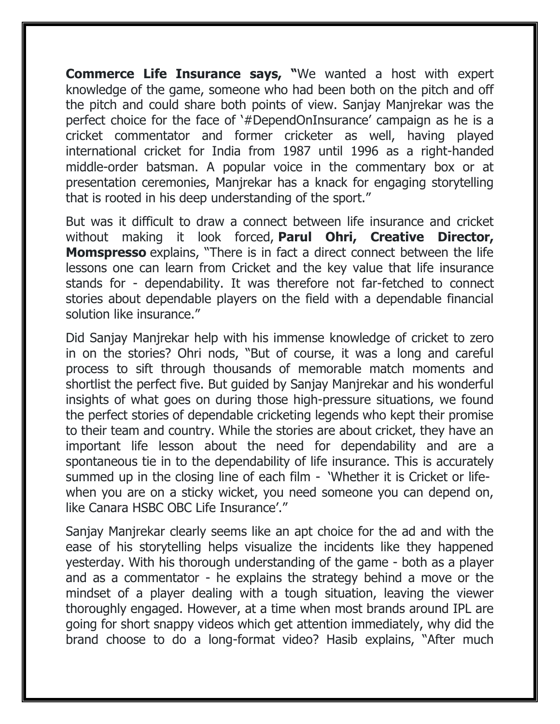**Commerce Life Insurance says, "**We wanted a host with expert knowledge of the game, someone who had been both on the pitch and off the pitch and could share both points of view. Sanjay Manjrekar was the perfect choice for the face of '#DependOnInsurance' campaign as he is a cricket commentator and former cricketer as well, having played international cricket for India from 1987 until 1996 as a right-handed middle-order batsman. A popular voice in the commentary box or at presentation ceremonies, Manjrekar has a knack for engaging storytelling that is rooted in his deep understanding of the sport."

But was it difficult to draw a connect between life insurance and cricket without making it look forced, **Parul Ohri, Creative Director, Momspresso** explains, "There is in fact a direct connect between the life lessons one can learn from Cricket and the key value that life insurance stands for - dependability. It was therefore not far-fetched to connect stories about dependable players on the field with a dependable financial solution like insurance."

Did Sanjay Manjrekar help with his immense knowledge of cricket to zero in on the stories? Ohri nods, "But of course, it was a long and careful process to sift through thousands of memorable match moments and shortlist the perfect five. But guided by Sanjay Manjrekar and his wonderful insights of what goes on during those high-pressure situations, we found the perfect stories of dependable cricketing legends who kept their promise to their team and country. While the stories are about cricket, they have an important life lesson about the need for dependability and are a spontaneous tie in to the dependability of life insurance. This is accurately summed up in the closing line of each film - 'Whether it is Cricket or lifewhen you are on a sticky wicket, you need someone you can depend on, like Canara HSBC OBC Life Insurance'."

Sanjay Manjrekar clearly seems like an apt choice for the ad and with the ease of his storytelling helps visualize the incidents like they happened yesterday. With his thorough understanding of the game - both as a player and as a commentator - he explains the strategy behind a move or the mindset of a player dealing with a tough situation, leaving the viewer thoroughly engaged. However, at a time when most brands around IPL are going for short snappy videos which get attention immediately, why did the brand choose to do a long-format video? Hasib explains, "After much